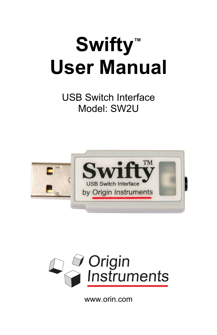# **Swifty™ User Manual**

USB Switch Interface Model: SW2U





www.orin.com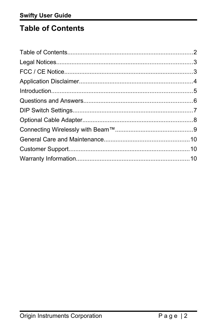# <span id="page-1-0"></span>**Table of Contents**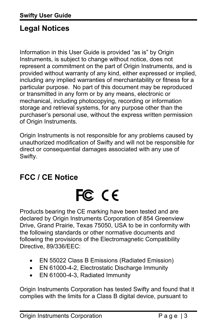# <span id="page-2-1"></span>**Legal Notices**

Information in this User Guide is provided "as is" by Origin Instruments, is subject to change without notice, does not represent a commitment on the part of Origin Instruments, and is provided without warranty of any kind, either expressed or implied, including any implied warranties of merchantability or fitness for a particular purpose. No part of this document may be reproduced or transmitted in any form or by any means, electronic or mechanical, including photocopying, recording or information storage and retrieval systems, for any purpose other than the purchaser's personal use, without the express written permission of Origin Instruments.

Origin Instruments is not responsible for any problems caused by unauthorized modification of Swifty and will not be responsible for direct or consequential damages associated with any use of Swifty.

## <span id="page-2-0"></span>**FCC / CE Notice**

# FC CE

Products bearing the CE marking have been tested and are declared by Origin Instruments Corporation of 854 Greenview Drive, Grand Prairie, Texas 75050, USA to be in conformity with the following standards or other normative documents and following the provisions of the Electromagnetic Compatibility Directive, 89/336/EEC:

- EN 55022 Class B Emissions (Radiated Emission)
- EN 61000-4-2, Electrostatic Discharge Immunity
- EN 61000-4-3, Radiated Immunity

Origin Instruments Corporation has tested Swifty and found that it complies with the limits for a Class B digital device, pursuant to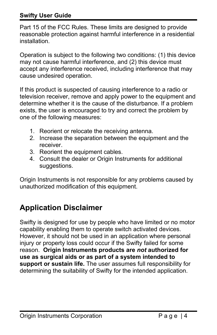#### **Swifty User Guide**

Part 15 of the FCC Rules. These limits are designed to provide reasonable protection against harmful interference in a residential installation.

Operation is subject to the following two conditions: (1) this device may not cause harmful interference, and (2) this device must accept any interference received, including interference that may cause undesired operation.

If this product is suspected of causing interference to a radio or television receiver, remove and apply power to the equipment and determine whether it is the cause of the disturbance. If a problem exists, the user is encouraged to try and correct the problem by one of the following measures:

- 1. Reorient or relocate the receiving antenna.
- 2. Increase the separation between the equipment and the receiver.
- 3. Reorient the equipment cables.
- 4. Consult the dealer or Origin Instruments for additional suggestions.

Origin Instruments is not responsible for any problems caused by unauthorized modification of this equipment.

# <span id="page-3-0"></span>**Application Disclaimer**

Swifty is designed for use by people who have limited or no motor capability enabling them to operate switch activated devices. However, it should not be used in an application where personal injury or property loss could occur if the Swifty failed for some reason. **Origin Instruments products are** *not* **authorized for use as surgical aids or as part of a system intended to support or sustain life.** The user assumes full responsibility for determining the suitability of Swifty for the intended application.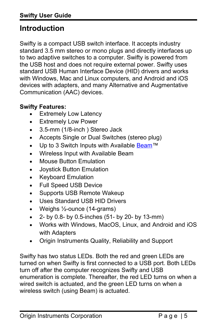# <span id="page-4-0"></span>**Introduction**

Swifty is a compact USB switch interface. It accepts industry standard 3.5 mm stereo or mono plugs and directly interfaces up to two adaptive switches to a computer. Swifty is powered from the USB host and does not require external power. Swifty uses standard USB Human Interface Device (HID) drivers and works with Windows, Mac and Linux computers, and Android and iOS devices with adapters, and many Alternative and Augmentative Communication (AAC) devices.

#### **Swifty Features:**

- Extremely Low Latency
- Extremely Low Power
- 3.5-mm (1/8-inch ) Stereo Jack
- Accepts Single or Dual Switches (stereo plug)
- Up to 3 Switch Inputs with Available [Beam](http://orin.com/access/wst/index.htm)™
- Wireless Input with Available Beam
- Mouse Button Emulation
- Joystick Button Emulation
- Keyboard Emulation
- Full Speed USB Device
- Supports USB Remote Wakeup
- Uses Standard USB HID Drivers
- Weighs ½-ounce (14-grams)
- $\bullet$  2- by 0.8- by 0.5-inches (51- by 20- by 13-mm)
- Works with Windows, MacOS, Linux, and Android and iOS with Adapters
- Origin Instruments Quality, Reliability and Support

Swifty has two status LEDs. Both the red and green LEDs are turned on when Swifty is first connected to a USB port. Both LEDs turn off after the computer recognizes Swifty and USB enumeration is complete. Thereafter, the red LED turns on when a wired switch is actuated, and the green LED turns on when a wireless switch (using Beam) is actuated.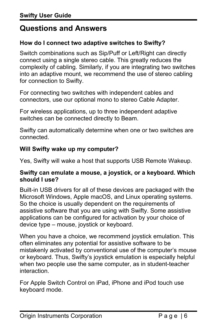## <span id="page-5-0"></span>**Questions and Answers**

#### **How do I connect two adaptive switches to Swifty?**

Switch combinations such as Sip/Puff or Left/Right can directly connect using a single stereo cable. This greatly reduces the complexity of cabling. Similarly, if you are integrating two switches into an adaptive mount, we recommend the use of stereo cabling for connection to Swifty.

For connecting two switches with independent cables and connectors, use our optional mono to stereo Cable Adapter.

For wireless applications, up to three independent adaptive switches can be connected directly to Beam.

Swifty can automatically determine when one or two switches are connected.

#### **Will Swifty wake up my computer?**

Yes, Swifty will wake a host that supports USB Remote Wakeup.

#### **Swifty can emulate a mouse, a joystick, or a keyboard. Which should I use?**

Built-in USB drivers for all of these devices are packaged with the Microsoft Windows, Apple macOS, and Linux operating systems. So the choice is usually dependent on the requirements of assistive software that you are using with Swifty. Some assistive applications can be configured for activation by your choice of device type – mouse, joystick or keyboard.

When you have a choice, we recommend joystick emulation. This often eliminates any potential for assistive software to be mistakenly activated by conventional use of the computer's mouse or keyboard. Thus, Swifty's joystick emulation is especially helpful when two people use the same computer, as in student-teacher interaction.

For Apple Switch Control on iPad, iPhone and iPod touch use keyboard mode.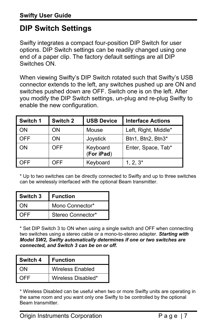# <span id="page-6-0"></span>**DIP Switch Settings**

Swifty integrates a compact four-position DIP Switch for user options. DIP Switch settings can be readily changed using one end of a paper clip. The factory default settings are all DIP Switches ON.

When viewing Swifty's DIP Switch rotated such that Swifty's USB connector extends to the left, any switches pushed up are ON and switches pushed down are OFF. Switch one is on the left. After you modify the DIP Switch settings, un-plug and re-plug Swifty to enable the new configuration.

| Switch 1 | Switch 2   | <b>USB Device</b>      | <b>Interface Actions</b> |
|----------|------------|------------------------|--------------------------|
| ON       | ON         | Mouse                  | Left, Right, Middle*     |
| OFF      | ON         | Joystick               | Btn1, Btn2, Btn3*        |
| ΟN       | <b>OFF</b> | Keyboard<br>(For iPad) | Enter, Space, Tab*       |
| OFF      | OFF        | Keyboard               | $1, 2, 3^*$              |

\* Up to two switches can be directly connected to Swifty and up to three switches can be wirelessly interfaced with the optional Beam transmitter.

| Switch 3 | l Function        |
|----------|-------------------|
| ΩN       | Mono Connector*   |
| OEE      | Stereo Connector* |

\* Set DIP Switch 3 to ON when using a single switch and OFF when connecting two switches using a stereo cable or a mono-to-stereo adapter. *Starting with Model SW2, Swifty automatically determines if one or two switches are connected, and Switch 3 can be on or off.*

| Switch 4 | l Function              |
|----------|-------------------------|
| ωN       | <b>Wireless Enabled</b> |
| OFF      | Wireless Disabled*      |

\* Wireless Disabled can be useful when two or more Swifty units are operating in the same room and you want only one Swifty to be controlled by the optional Beam transmitter.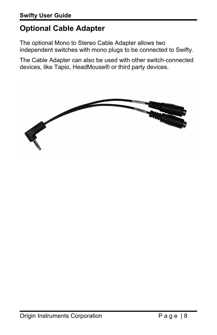# <span id="page-7-0"></span>**Optional Cable Adapter**

The optional Mono to Stereo Cable Adapter allows two independent switches with mono plugs to be connected to Swifty.

The Cable Adapter can also be used with other switch-connected devices, like Tapio, HeadMouse® or third party devices.

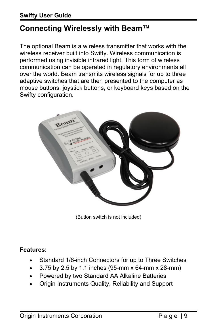# <span id="page-8-0"></span>**Connecting Wirelessly with Beam™**

The optional Beam is a wireless transmitter that works with the wireless receiver built into Swifty. Wireless communication is performed using invisible infrared light. This form of wireless communication can be operated in regulatory environments all over the world. Beam transmits wireless signals for up to three adaptive switches that are then presented to the computer as mouse buttons, joystick buttons, or keyboard keys based on the Swifty configuration.



(Button switch is not included)

#### **Features:**

- Standard 1/8-inch Connectors for up to Three Switches
- 3.75 by 2.5 by 1.1 inches (95-mm x 64-mm x 28-mm)
- Powered by two Standard AA Alkaline Batteries
- Origin Instruments Quality, Reliability and Support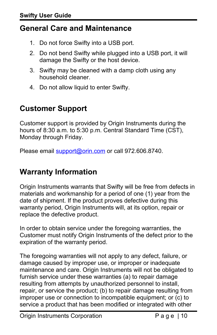# <span id="page-9-2"></span>**General Care and Maintenance**

- 1. Do not force Swifty into a USB port.
- 2. Do not bend Swifty while plugged into a USB port, it will damage the Swifty or the host device.
- 3. Swifty may be cleaned with a damp cloth using any household cleaner.
- 4. Do not allow liquid to enter Swifty.

# <span id="page-9-1"></span>**Customer Support**

Customer support is provided by Origin Instruments during the hours of 8:30 a.m. to 5:30 p.m. Central Standard Time (CST), Monday through Friday.

Please email [support@orin.com](mailto:support@orin.com) or call 972.606.8740.

# <span id="page-9-0"></span>**Warranty Information**

Origin Instruments warrants that Swifty will be free from defects in materials and workmanship for a period of one (1) year from the date of shipment. If the product proves defective during this warranty period, Origin Instruments will, at its option, repair or replace the defective product.

In order to obtain service under the foregoing warranties, the Customer must notify Origin Instruments of the defect prior to the expiration of the warranty period.

The foregoing warranties will not apply to any defect, failure, or damage caused by improper use, or improper or inadequate maintenance and care. Origin Instruments will not be obligated to furnish service under these warranties (a) to repair damage resulting from attempts by unauthorized personnel to install, repair, or service the product; (b) to repair damage resulting from improper use or connection to incompatible equipment; or (c) to service a product that has been modified or integrated with other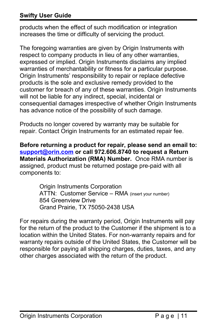#### **Swifty User Guide**

products when the effect of such modification or integration increases the time or difficulty of servicing the product.

The foregoing warranties are given by Origin Instruments with respect to company products in lieu of any other warranties, expressed or implied. Origin Instruments disclaims any implied warranties of merchantability or fitness for a particular purpose. Origin Instruments' responsibility to repair or replace defective products is the sole and exclusive remedy provided to the customer for breach of any of these warranties. Origin Instruments will not be liable for any indirect, special, incidental or consequential damages irrespective of whether Origin Instruments has advance notice of the possibility of such damage.

Products no longer covered by warranty may be suitable for repair. Contact Origin Instruments for an estimated repair fee.

**Before returning a product for repair, please send an email to: [support@orin.com](mailto:support@orin.com) or call 972.606.8740 to request a Return Materials Authorization (RMA) Number.** Once RMA number is assigned, product must be returned postage pre-paid with all components to:

> Origin Instruments Corporation ATTN: Customer Service - RMA (insert your number) 854 Greenview Drive Grand Prairie, TX 75050-2438 USA

For repairs during the warranty period, Origin Instruments will pay for the return of the product to the Customer if the shipment is to a location within the United States. For non-warranty repairs and for warranty repairs outside of the United States, the Customer will be responsible for paying all shipping charges, duties, taxes, and any other charges associated with the return of the product.